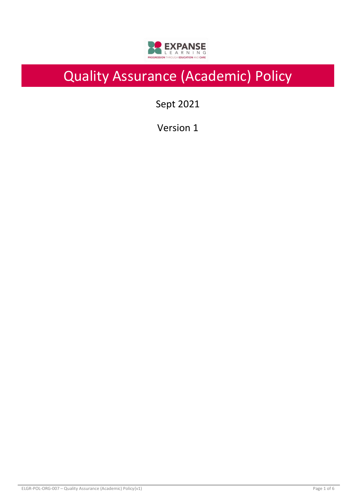

# Quality Assurance (Academic) Policy

Sept 2021

Version 1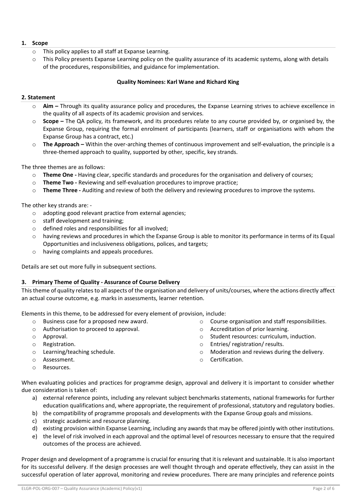# **1. Scope**

- o This policy applies to all staff at Expanse Learning.
- $\circ$  This Policy presents Expanse Learning policy on the quality assurance of its academic systems, along with details of the procedures, responsibilities, and guidance for implementation.

## **Quality Nominees: Karl Wane and Richard King**

## **2. Statement**

- o **Aim –** Through its quality assurance policy and procedures, the Expanse Learning strives to achieve excellence in the quality of all aspects of its academic provision and services.
- o **Scope –** The QA policy, its framework, and its procedures relate to any course provided by, or organised by, the Expanse Group, requiring the formal enrolment of participants (learners, staff or organisations with whom the Expanse Group has a contract, etc.)
- o **The Approach –** Within the over-arching themes of continuous improvement and self-evaluation, the principle is a three-themed approach to quality, supported by other, specific, key strands.

The three themes are as follows:

- o **Theme One -** Having clear, specific standards and procedures for the organisation and delivery of courses;
- o **Theme Two -** Reviewing and self-evaluation procedures to improve practice;
- o **Theme Three -** Auditing and review of both the delivery and reviewing procedures to improve the systems.

The other key strands are: -

- o adopting good relevant practice from external agencies;
- o staff development and training;
- o defined roles and responsibilities for all involved;
- $\circ$  having reviews and procedures in which the Expanse Group is able to monitor its performance in terms of its Equal Opportunities and inclusiveness obligations, polices, and targets;
- o having complaints and appeals procedures.

Details are set out more fully in subsequent sections.

## **3. Primary Theme of Quality - Assurance of Course Delivery**

This theme of quality relates to all aspects of the organisation and delivery of units/courses, where the actions directly affect an actual course outcome, e.g. marks in assessments, learner retention.

Elements in this theme, to be addressed for every element of provision, include:

- o Business case for a proposed new award.
- o Authorisation to proceed to approval.
- o Approval.
- o Registration.
- o Learning/teaching schedule.
- o Assessment.
- o Resources.
- o Course organisation and staff responsibilities.
- o Accreditation of prior learning.
- o Student resources: curriculum, induction.
- o Entries/ registration/ results.
- o Moderation and reviews during the delivery.
- o Certification.

When evaluating policies and practices for programme design, approval and delivery it is important to consider whether due consideration is taken of:

- a) external reference points, including any relevant subject benchmarks statements, national frameworks for further education qualifications and, where appropriate, the requirement of professional, statutory and regulatory bodies.
- b) the compatibility of programme proposals and developments with the Expanse Group goals and missions.
- c) strategic academic and resource planning.
- d) existing provision within Expanse Learning, including any awards that may be offered jointly with other institutions.
- e) the level of risk involved in each approval and the optimal level of resources necessary to ensure that the required outcomes of the process are achieved.

Proper design and development of a programme is crucial for ensuring that it is relevant and sustainable. It is also important for its successful delivery. If the design processes are well thought through and operate effectively, they can assist in the successful operation of later approval, monitoring and review procedures. There are many principles and reference points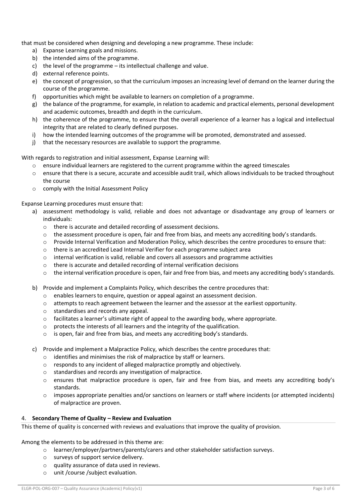that must be considered when designing and developing a new programme. These include:

- a) Expanse Learning goals and missions.
- b) the intended aims of the programme.
- c) the level of the programme its intellectual challenge and value.
- d) external reference points.
- e) the concept of progression, so that the curriculum imposes an increasing level of demand on the learner during the course of the programme.
- f) opportunities which might be available to learners on completion of a programme.
- g) the balance of the programme, for example, in relation to academic and practical elements, personal development and academic outcomes, breadth and depth in the curriculum.
- h) the coherence of the programme, to ensure that the overall experience of a learner has a logical and intellectual integrity that are related to clearly defined purposes.
- i) how the intended learning outcomes of the programme will be promoted, demonstrated and assessed.
- j) that the necessary resources are available to support the programme.

With regards to registration and initial assessment, Expanse Learning will:

- $\circ$  ensure individual learners are registered to the current programme within the agreed timescales
- o ensure that there is a secure, accurate and accessible audit trail, which allows individuals to be tracked throughout the course
- o comply with the Initial Assessment Policy

Expanse Learning procedures must ensure that:

- a) assessment methodology is valid, reliable and does not advantage or disadvantage any group of learners or individuals:
	- o there is accurate and detailed recording of assessment decisions.
	- $\circ$  the assessment procedure is open, fair and free from bias, and meets any accrediting body's standards.
	- o Provide Internal Verification and Moderation Policy, which describes the centre procedures to ensure that:
	- o there is an accredited Lead Internal Verifier for each programme subject area
	- o internal verification is valid, reliable and covers all assessors and programme activities
	- o there is accurate and detailed recording of internal verification decisions
	- $\circ$  the internal verification procedure is open, fair and free from bias, and meets any accrediting body's standards.
- b) Provide and implement a Complaints Policy, which describes the centre procedures that:
	- o enables learners to enquire, question or appeal against an assessment decision.
	- o attempts to reach agreement between the learner and the assessor at the earliest opportunity.
	- o standardises and records any appeal.
	- $\circ$  facilitates a learner's ultimate right of appeal to the awarding body, where appropriate.
	- o protects the interests of all learners and the integrity of the qualification.
	- o is open, fair and free from bias, and meets any accrediting body's standards.
- c) Provide and implement a Malpractice Policy, which describes the centre procedures that:
	- o identifies and minimises the risk of malpractice by staff or learners.
	- o responds to any incident of alleged malpractice promptly and objectively.
	- o standardises and records any investigation of malpractice.
	- o ensures that malpractice procedure is open, fair and free from bias, and meets any accrediting body's standards.
	- o imposes appropriate penalties and/or sanctions on learners or staff where incidents (or attempted incidents) of malpractice are proven.

#### 4. **Secondary Theme of Quality – Review and Evaluation**

This theme of quality is concerned with reviews and evaluations that improve the quality of provision.

Among the elements to be addressed in this theme are:

- o learner/employer/partners/parents/carers and other stakeholder satisfaction surveys.
- o surveys of support service delivery.
- o quality assurance of data used in reviews.
- o unit /course /subject evaluation.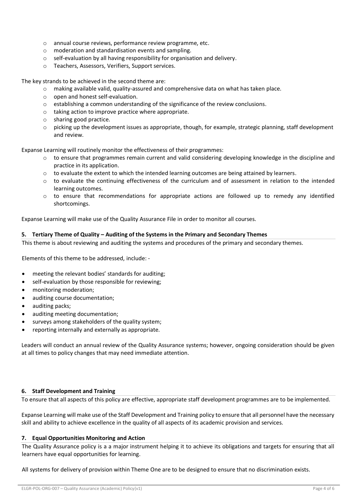- o annual course reviews, performance review programme, etc.
- o moderation and standardisation events and sampling.
- o self-evaluation by all having responsibility for organisation and delivery.
- o Teachers, Assessors, Verifiers, Support services.

The key strands to be achieved in the second theme are:

- o making available valid, quality-assured and comprehensive data on what has taken place.
- o open and honest self-evaluation.
- o establishing a common understanding of the significance of the review conclusions.
- o taking action to improve practice where appropriate.
- o sharing good practice.
- o picking up the development issues as appropriate, though, for example, strategic planning, staff development and review.

Expanse Learning will routinely monitor the effectiveness of their programmes:

- $\circ$  to ensure that programmes remain current and valid considering developing knowledge in the discipline and practice in its application.
- $\circ$  to evaluate the extent to which the intended learning outcomes are being attained by learners.
- $\circ$  to evaluate the continuing effectiveness of the curriculum and of assessment in relation to the intended learning outcomes.
- $\circ$  to ensure that recommendations for appropriate actions are followed up to remedy any identified shortcomings.

Expanse Learning will make use of the Quality Assurance File in order to monitor all courses.

#### **5. Tertiary Theme of Quality – Auditing of the Systems in the Primary and Secondary Themes**

This theme is about reviewing and auditing the systems and procedures of the primary and secondary themes.

Elements of this theme to be addressed, include: -

- meeting the relevant bodies' standards for auditing;
- self-evaluation by those responsible for reviewing;
- monitoring moderation;
- auditing course documentation;
- auditing packs;
- auditing meeting documentation:
- surveys among stakeholders of the quality system;
- reporting internally and externally as appropriate.

Leaders will conduct an annual review of the Quality Assurance systems; however, ongoing consideration should be given at all times to policy changes that may need immediate attention.

#### **6. Staff Development and Training**

To ensure that all aspects of this policy are effective, appropriate staff development programmes are to be implemented.

Expanse Learning will make use of the Staff Development and Training policy to ensure that all personnel have the necessary skill and ability to achieve excellence in the quality of all aspects of its academic provision and services.

#### **7. Equal Opportunities Monitoring and Action**

The Quality Assurance policy is a a major instrument helping it to achieve its obligations and targets for ensuring that all learners have equal opportunities for learning.

All systems for delivery of provision within Theme One are to be designed to ensure that no discrimination exists.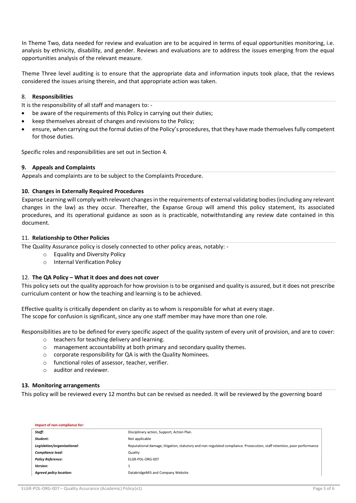In Theme Two, data needed for review and evaluation are to be acquired in terms of equal opportunities monitoring, i.e. analysis by ethnicity, disability, and gender. Reviews and evaluations are to address the issues emerging from the equal opportunities analysis of the relevant measure.

Theme Three level auditing is to ensure that the appropriate data and information inputs took place, that the reviews considered the issues arising therein, and that appropriate action was taken.

## 8. **Responsibilities**

It is the responsibility of all staff and managers to: -

- be aware of the requirements of this Policy in carrying out their duties;
- keep themselves abreast of changes and revisions to the Policy;
- ensure, when carrying out the formal duties of the Policy's procedures, that they have made themselves fully competent for those duties.

Specific roles and responsibilities are set out in Section 4.

#### **9. Appeals and Complaints**

Appeals and complaints are to be subject to the Complaints Procedure.

#### **10. Changes in Externally Required Procedures**

Expanse Learning will comply with relevant changes in the requirements of external validating bodies (including any relevant changes in the law) as they occur. Thereafter, the Expanse Group will amend this policy statement, its associated procedures, and its operational guidance as soon as is practicable, notwithstanding any review date contained in this document.

## 11. **Relationship to Other Policies**

The Quality Assurance policy is closely connected to other policy areas, notably: -

- o Equality and Diversity Policy
- o Internal Verification Policy

## 12. **The QA Policy – What it does and does not cover**

This policy sets out the quality approach for how provision is to be organised and quality is assured, but it does not prescribe curriculum content or how the teaching and learning is to be achieved.

Effective quality is critically dependent on clarity as to whom is responsible for what at every stage. The scope for confusion is significant, since any one staff member may have more than one role.

Responsibilities are to be defined for every specific aspect of the quality system of every unit of provision, and are to cover:

- o teachers for teaching delivery and learning.
- o management accountability at both primary and secondary quality themes.
- o corporate responsibility for QA is with the Quality Nominees.
- o functional roles of assessor, teacher, verifier.
- o auditor and reviewer.

#### **13. Monitoring arrangements**

This policy will be reviewed every 12 months but can be revised as needed. It will be reviewed by the governing board

| Impact of non-compliance for:  |                                                                                                                         |
|--------------------------------|-------------------------------------------------------------------------------------------------------------------------|
| Staff:                         | Disciplinary action, Support, Action Plan.                                                                              |
| Student:                       | Not applicable                                                                                                          |
| Legislation/organisational:    | Reputational damage, litigation, statutory and non-regulated compliance. Prosecution, staff retention, poor performance |
| Compliance lead:               | Quality                                                                                                                 |
| <b>Policy Reference:</b>       | ELGR-POL-ORG-007                                                                                                        |
| Version:                       |                                                                                                                         |
| <b>Agreed policy location:</b> | DatabridgeMIS and Company Website                                                                                       |